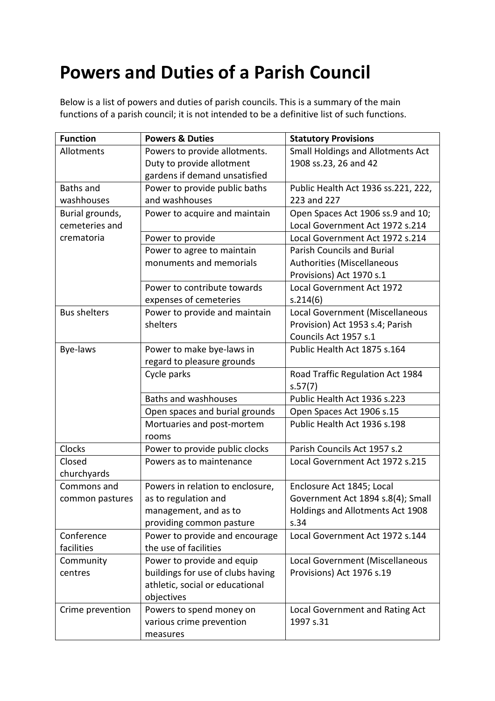## **Powers and Duties of a Parish Council**

Below is a list of powers and duties of parish councils. This is a summary of the main functions of a parish council; it is not intended to be a definitive list of such functions.

| <b>Function</b>     | <b>Powers &amp; Duties</b>        | <b>Statutory Provisions</b>         |
|---------------------|-----------------------------------|-------------------------------------|
| Allotments          | Powers to provide allotments.     | Small Holdings and Allotments Act   |
|                     | Duty to provide allotment         | 1908 ss.23, 26 and 42               |
|                     | gardens if demand unsatisfied     |                                     |
| <b>Baths and</b>    | Power to provide public baths     | Public Health Act 1936 ss.221, 222, |
| washhouses          | and washhouses                    | 223 and 227                         |
| Burial grounds,     | Power to acquire and maintain     | Open Spaces Act 1906 ss.9 and 10;   |
| cemeteries and      |                                   | Local Government Act 1972 s.214     |
| crematoria          | Power to provide                  | Local Government Act 1972 s.214     |
|                     | Power to agree to maintain        | <b>Parish Councils and Burial</b>   |
|                     | monuments and memorials           | Authorities (Miscellaneous          |
|                     |                                   | Provisions) Act 1970 s.1            |
|                     | Power to contribute towards       | Local Government Act 1972           |
|                     | expenses of cemeteries            | s.214(6)                            |
| <b>Bus shelters</b> | Power to provide and maintain     | Local Government (Miscellaneous     |
|                     | shelters                          | Provision) Act 1953 s.4; Parish     |
|                     |                                   | Councils Act 1957 s.1               |
| Bye-laws            | Power to make bye-laws in         | Public Health Act 1875 s.164        |
|                     | regard to pleasure grounds        |                                     |
|                     | Cycle parks                       | Road Traffic Regulation Act 1984    |
|                     |                                   | s.57(7)                             |
|                     | <b>Baths and washhouses</b>       | Public Health Act 1936 s.223        |
|                     | Open spaces and burial grounds    | Open Spaces Act 1906 s.15           |
|                     | Mortuaries and post-mortem        | Public Health Act 1936 s.198        |
|                     | rooms                             |                                     |
| <b>Clocks</b>       | Power to provide public clocks    | Parish Councils Act 1957 s.2        |
| Closed              | Powers as to maintenance          | Local Government Act 1972 s.215     |
| churchyards         |                                   |                                     |
| Commons and         | Powers in relation to enclosure,  | Enclosure Act 1845; Local           |
| common pastures     | as to regulation and              | Government Act 1894 s.8(4); Small   |
|                     | management, and as to             | Holdings and Allotments Act 1908    |
|                     | providing common pasture          | s.34                                |
| Conference          | Power to provide and encourage    | Local Government Act 1972 s.144     |
| facilities          | the use of facilities             |                                     |
| Community           | Power to provide and equip        | Local Government (Miscellaneous     |
| centres             | buildings for use of clubs having | Provisions) Act 1976 s.19           |
|                     | athletic, social or educational   |                                     |
|                     | objectives                        |                                     |
| Crime prevention    | Powers to spend money on          | Local Government and Rating Act     |
|                     | various crime prevention          | 1997 s.31                           |
|                     | measures                          |                                     |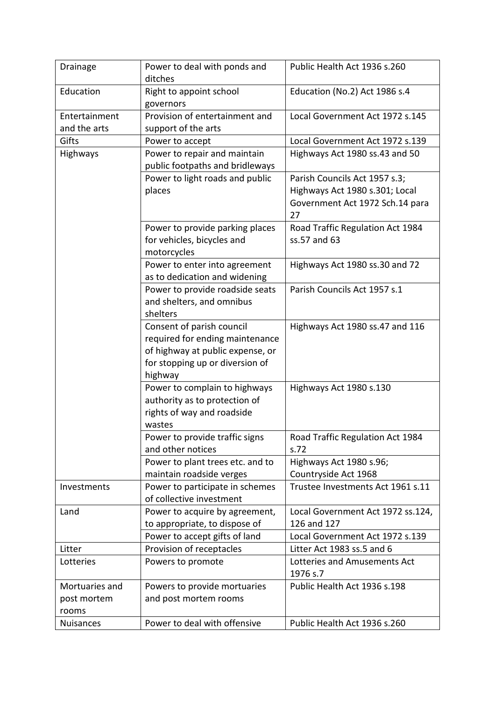| Drainage         | Power to deal with ponds and<br>ditches | Public Health Act 1936 s.260      |
|------------------|-----------------------------------------|-----------------------------------|
| Education        | Right to appoint school                 | Education (No.2) Act 1986 s.4     |
|                  | governors                               |                                   |
| Entertainment    | Provision of entertainment and          | Local Government Act 1972 s.145   |
| and the arts     | support of the arts                     |                                   |
| Gifts            | Power to accept                         | Local Government Act 1972 s.139   |
| Highways         | Power to repair and maintain            |                                   |
|                  | public footpaths and bridleways         | Highways Act 1980 ss.43 and 50    |
|                  | Power to light roads and public         | Parish Councils Act 1957 s.3;     |
|                  | places                                  | Highways Act 1980 s.301; Local    |
|                  |                                         | Government Act 1972 Sch.14 para   |
|                  |                                         | 27                                |
|                  | Power to provide parking places         | Road Traffic Regulation Act 1984  |
|                  | for vehicles, bicycles and              | ss.57 and 63                      |
|                  | motorcycles                             |                                   |
|                  | Power to enter into agreement           | Highways Act 1980 ss.30 and 72    |
|                  | as to dedication and widening           |                                   |
|                  | Power to provide roadside seats         | Parish Councils Act 1957 s.1      |
|                  | and shelters, and omnibus               |                                   |
|                  | shelters                                |                                   |
|                  | Consent of parish council               | Highways Act 1980 ss.47 and 116   |
|                  | required for ending maintenance         |                                   |
|                  | of highway at public expense, or        |                                   |
|                  | for stopping up or diversion of         |                                   |
|                  | highway                                 |                                   |
|                  | Power to complain to highways           | Highways Act 1980 s.130           |
|                  | authority as to protection of           |                                   |
|                  | rights of way and roadside              |                                   |
|                  | wastes                                  |                                   |
|                  | Power to provide traffic signs          | Road Traffic Regulation Act 1984  |
|                  | and other notices                       | s.72                              |
|                  | Power to plant trees etc. and to        | Highways Act 1980 s.96;           |
|                  | maintain roadside verges                | Countryside Act 1968              |
| Investments      | Power to participate in schemes         | Trustee Investments Act 1961 s.11 |
|                  | of collective investment                |                                   |
| Land             | Power to acquire by agreement,          | Local Government Act 1972 ss.124, |
|                  | to appropriate, to dispose of           | 126 and 127                       |
|                  | Power to accept gifts of land           | Local Government Act 1972 s.139   |
| Litter           | Provision of receptacles                | Litter Act 1983 ss.5 and 6        |
| Lotteries        | Powers to promote                       | Lotteries and Amusements Act      |
|                  |                                         | 1976 s.7                          |
| Mortuaries and   | Powers to provide mortuaries            | Public Health Act 1936 s.198      |
| post mortem      | and post mortem rooms                   |                                   |
| rooms            |                                         |                                   |
| <b>Nuisances</b> | Power to deal with offensive            | Public Health Act 1936 s.260      |